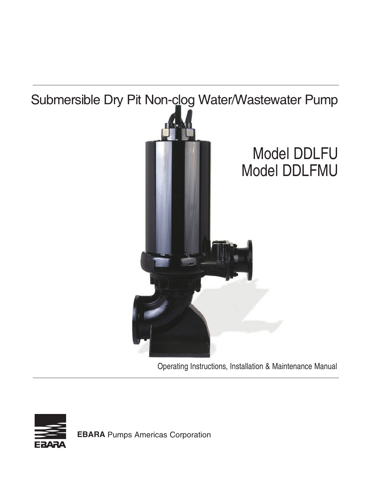

Operating Instructions, Installation & Maintenance Manual



**EBARA** Pumps Americas Corporation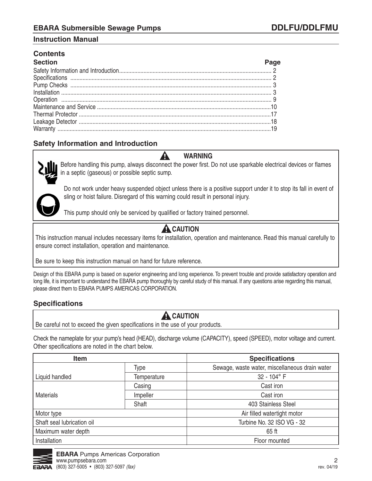# **Contents**

| <b>Section</b>                |  |
|-------------------------------|--|
|                               |  |
|                               |  |
| Specifications<br>Pump Checks |  |
|                               |  |
|                               |  |
|                               |  |
|                               |  |
|                               |  |
|                               |  |

# **Safety Information and Introduction**



Before handling this pump, always disconnect the power first. Do not use sparkable electrical devices or flames in a septic (gaseous) or possible septic sump.

**WARNING** 

Do not work under heavy suspended object unless there is a positive support under it to stop its fall in event of sling or hoist failure. Disregard of this warning could result in personal injury.

This pump should only be serviced by qualified or factory trained personnel.

A

# **A** CAUTION

This instruction manual includes necessary items for installation, operation and maintenance. Read this manual carefully to ensure correct installation, operation and maintenance.

Be sure to keep this instruction manual on hand for future reference.

Design of this EBARA pump is based on superior engineering and long experience. To prevent trouble and provide satisfactory operation and long life, it is important to understand the EBARA pump thoroughly by careful study of this manual. If any questions arise regarding this manual, please direct them to EBARA PUMPS AMERICAS CORPORATION.

## **Specifications**

#### **A** CAUTION Be careful not to exceed the given specifications in the use of your products.

Check the nameplate for your pump's head (HEAD), discharge volume (CAPACITY), speed (SPEED), motor voltage and current. Other specifications are noted in the chart below.

| Item                       |             | <b>Specifications</b>                          |  |  |
|----------------------------|-------------|------------------------------------------------|--|--|
|                            | Type        | Sewage, waste water, miscellaneous drain water |  |  |
| Liquid handled             | Temperature | 32 - 104° F                                    |  |  |
|                            | Casing      | Cast iron                                      |  |  |
| <b>Materials</b>           | Impeller    | Cast iron                                      |  |  |
|                            | Shaft       | 403 Stainless Steel                            |  |  |
| Motor type                 |             | Air filled watertight motor                    |  |  |
| Shaft seal lubrication oil |             | Turbine No. 32 ISO VG - 32                     |  |  |
| Maximum water depth        |             | 65 ft                                          |  |  |
| Installation               |             | Floor mounted                                  |  |  |

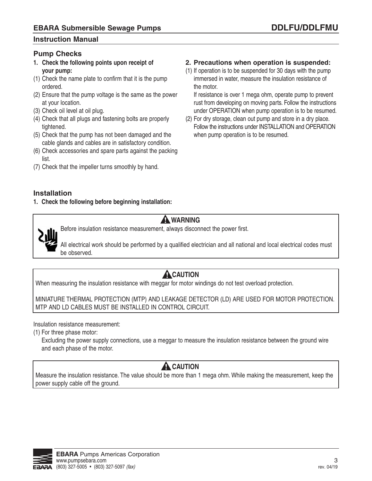## **Pump Checks**

- **1. Check the following points upon receipt of your pump:**
- (1) Check the name plate to confirm that it is the pump ordered.
- (2) Ensure that the pump voltage is the same as the power at your location.
- (3) Check oil level at oil plug.
- (4) Check that all plugs and fastening bolts are properly tightened.
- (5) Check that the pump has not been damaged and the cable glands and cables are in satisfactory condition.
- (6) Check accessories and spare parts against the packing list.
- (7) Check that the impeller turns smoothly by hand.

### **2. Precautions when operation is suspended:**

(1) If operation is to be suspended for 30 days with the pump immersed in water, measure the insulation resistance of the motor.

 If resistance is over 1 mega ohm, operate pump to prevent rust from developing on moving parts. Follow the instructions under OPERATION when pump operation is to be resumed.

(2) For dry storage, clean out pump and store in a dry place. Follow the instructions under INSTALLATION and OPERATION when pump operation is to be resumed.

### **Installation**

**1. Check the following before beginning installation:** 



# **A** WARNING

Before insulation resistance measurement, always disconnect the power first.

All electrical work should be performed by a qualified electrician and all national and local electrical codes must be observed.

# **A**CAUTION

When measuring the insulation resistance with meggar for motor windings do not test overload protection.

MINIATURE THERMAL PROTECTION (MTP) AND LEAKAGE DETECTOR (LD) ARE USED FOR MOTOR PROTECTION. MTP AND LD CABLES MUST BE INSTALLED IN CONTROL CIRCUIT.

Insulation resistance measurement:

(1) For three phase motor:

 Excluding the power supply connections, use a meggar to measure the insulation resistance between the ground wire and each phase of the motor.

# **A** CAUTION

Measure the insulation resistance. The value should be more than 1 mega ohm. While making the measurement, keep the power supply cable off the ground.

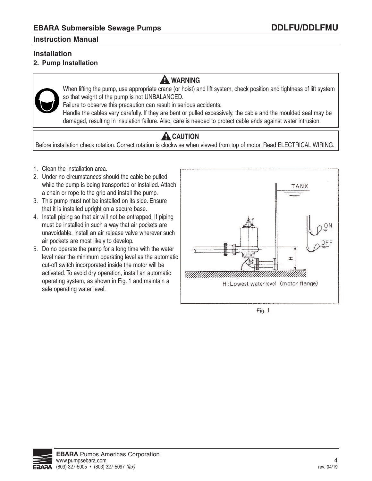# **Installation**

**2. Pump Installation** 

# **A** WARNING



When lifting the pump, use appropriate crane (or hoist) and lift system, check position and tightness of lift system so that weight of the pump is not UNBALANCED.

Failure to observe this precaution can result in serious accidents.

Handle the cables very carefully. If they are bent or pulled excessively, the cable and the moulded seal may be damaged, resulting in insulation failure. Also, care is needed to protect cable ends against water intrusion.

# **A** CAUTION

Before installation check rotation. Correct rotation is clockwise when viewed from top of motor. Read ELECTRICAL WIRING.

- 1. Clean the installation area.
- 2. Under no circumstances should the cable be pulled while the pump is being transported or installed. Attach a chain or rope to the grip and install the pump.
- 3. This pump must not be installed on its side. Ensure that it is installed upright on a secure base.
- 4. Install piping so that air will not be entrapped. If piping must be installed in such a way that air pockets are unavoidable, install an air release valve wherever such air pockets are most likely to develop.
- 5. Do no operate the pump for a long time with the water level near the minimum operating level as the automatic cut-off switch incorporated inside the motor will be activated. To avoid dry operation, install an automatic operating system, as shown in Fig. 1 and maintain a safe operating water level.



Fig. 1

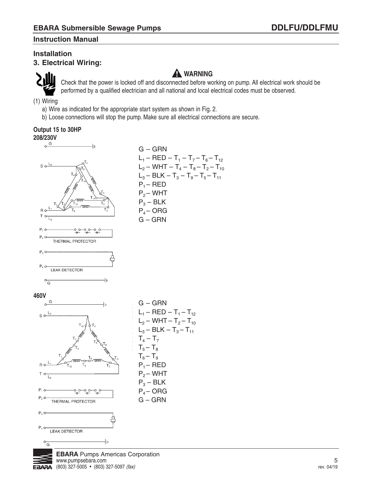# **Installation**

**3. Electrical Wiring:** 



# **A** WARNING

Check that the power is locked off and disconnected before working on pump. All electrical work should be performed by a qualified electrician and all national and local electrical codes must be observed.

(1) Wiring

- a) Wire as indicated for the appropriate start system as shown in Fig. 2.
- b) Loose connections will stop the pump. Make sure all electrical connections are secure.

## **Output 15 to 30HP**



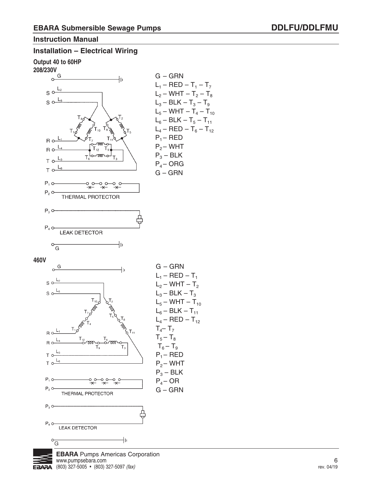# **Installation – Electrical Wiring**

**Output 40 to 60HP** 



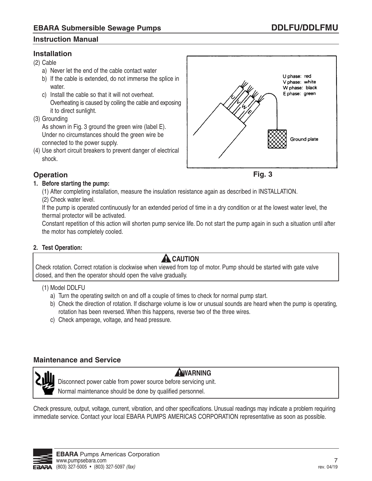## **Installation**

(2) Cable

- a) Never let the end of the cable contact water
- b) If the cable is extended, do not immerse the splice in water.
- c) Install the cable so that it will not overheat. Overheating is caused by coiling the cable and exposing it to direct sunlight.
- (3) Grounding

 As shown in Fig. 3 ground the green wire (label E). Under no circumstances should the green wire be connected to the power supply.

(4) Use short circuit breakers to prevent danger of electrical shock.





# **Operation**

### **1. Before starting the pump:**

(1) After completing installation, measure the insulation resistance again as described in INSTALLATION.

(2) Check water level.

 If the pump is operated continuously for an extended period of time in a dry condition or at the lowest water level, the thermal protector will be activated.

 Constant repetition of this action will shorten pump service life. Do not start the pump again in such a situation until after the motor has completely cooled.

### **2. Test Operation:**

# **A** CAUTION

Check rotation. Correct rotation is clockwise when viewed from top of motor. Pump should be started with gate valve closed, and then the operator should open the valve gradually.

### (1) Model DDLFU

- a) Turn the operating switch on and off a couple of times to check for normal pump start.
- b) Check the direction of rotation. If discharge volume is low or unusual sounds are heard when the pump is operating, rotation has been reversed. When this happens, reverse two of the three wires.
- c) Check amperage, voltage, and head pressure.

# **Maintenance and Service**



# **AWARNING**

Disconnect power cable from power source before servicing unit.

Normal maintenance should be done by qualified personnel.

Check pressure, output, voltage, current, vibration, and other specifications. Unusual readings may indicate a problem requiring immediate service. Contact your local EBARA PUMPS AMERICAS CORPORATION representative as soon as possible.

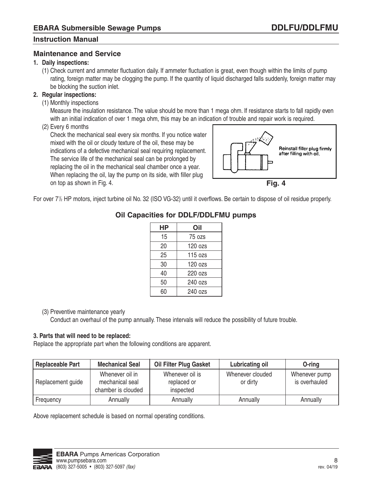### **Maintenance and Service**

#### **1. Daily inspections:**

 (1) Check current and ammeter fluctuation daily. If ammeter fluctuation is great, even though within the limits of pump rating, foreign matter may be clogging the pump. If the quantity of liquid discharged falls suddenly, foreign matter may be blocking the suction inlet.

## **2. Regular inspections:**

(1) Monthly inspections

 Measure the insulation resistance. The value should be more than 1 mega ohm. If resistance starts to fall rapidly even with an initial indication of over 1 mega ohm, this may be an indication of trouble and repair work is required.

(2) Every 6 months

 Check the mechanical seal every six months. If you notice water mixed with the oil or cloudy texture of the oil, these may be indications of a defective mechanical seal requiring replacement. The service life of the mechanical seal can be prolonged by replacing the oil in the mechanical seal chamber once a year. When replacing the oil, lay the pump on its side, with filler plug on top as shown in Fig. 4.





For over 7<sup>1</sup>/<sub>2</sub> HP motors, inject turbine oil No. 32 (ISO VG-32) until it overflows. Be certain to dispose of oil residue properly.

# **Oil Capacities for DDLF/DDLFMU pumps**

| НP | Oil     |
|----|---------|
| 15 | 75 ozs  |
| 20 | 120 ozs |
| 25 | 115 ozs |
| 30 | 120 ozs |
| 40 | 220 ozs |
| 50 | 240 ozs |
| 60 | 240 ozs |

### (3) Preventive maintenance yearly

Conduct an overhaul of the pump annually. These intervals will reduce the possibility of future trouble.

### **3. Parts that will need to be replaced:**

Replace the appropriate part when the following conditions are apparent.

| <b>Replaceable Part</b> | <b>Mechanical Seal</b>                                   | <b>Oil Filter Plug Gasket</b>               | <b>Lubricating oil</b>       | O-ring                         |
|-------------------------|----------------------------------------------------------|---------------------------------------------|------------------------------|--------------------------------|
| Replacement guide       | Whenever oil in<br>mechanical seal<br>chamber is clouded | Whenever oil is<br>replaced or<br>inspected | Whenever clouded<br>or dirty | Whenever pump<br>is overhauled |
| Frequency               | Annually                                                 | Annually                                    | Annually                     | Annually                       |

Above replacement schedule is based on normal operating conditions.

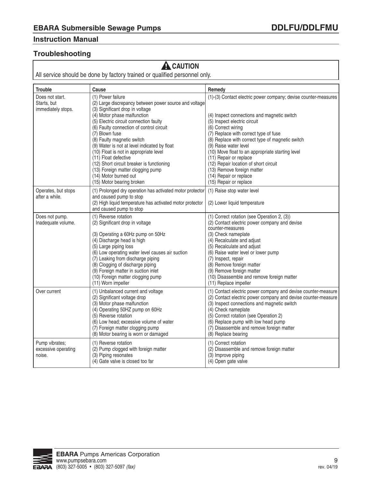# **Troubleshooting**

# **A** CAUTION

All service should be done by factory trained or qualified personnel only.

| <b>Trouble</b>                                       | Cause                                                                                                                                                                                                                                                                                                                                                                                                                                                                                                                                         | Remedy                                                                                                                                                                                                                                                                                                                                                                                                                                                                                              |
|------------------------------------------------------|-----------------------------------------------------------------------------------------------------------------------------------------------------------------------------------------------------------------------------------------------------------------------------------------------------------------------------------------------------------------------------------------------------------------------------------------------------------------------------------------------------------------------------------------------|-----------------------------------------------------------------------------------------------------------------------------------------------------------------------------------------------------------------------------------------------------------------------------------------------------------------------------------------------------------------------------------------------------------------------------------------------------------------------------------------------------|
| Does not start.<br>Starts, but<br>immediately stops. | (1) Power failure<br>(2) Large discrepancy between power source and voltage<br>(3) Significant drop in voltage<br>(4) Motor phase malfunction<br>(5) Electric circuit connection faulty<br>(6) Faulty connection of control circuit<br>(7) Blown fuse<br>(8) Faulty magnetic switch<br>(9) Water is not at level indicated by float<br>(10) Float is not in appropriate level<br>(11) Float defective<br>(12) Short circuit breaker is functioning<br>(13) Foreign matter clogging pump<br>(14) Motor burned out<br>(15) Motor bearing broken | (1)-(3) Contact electric power company; devise counter-measures<br>(4) Inspect connections and magnetic switch<br>(5) Inspect electric circuit<br>(6) Correct wiring<br>(7) Replace with correct type of fuse<br>(8) Replace with correct type of magnetic switch<br>(9) Raise water level<br>(10) Move float to an appropriate starting level<br>(11) Repair or replace<br>(12) Repair location of short circuit<br>(13) Remove foreign matter<br>(14) Repair or replace<br>(15) Repair or replace |
| Operates, but stops<br>after a while.                | (1) Prolonged dry operation has activated motor protector<br>and caused pump to stop<br>(2) High liquid temperature has activated motor protector<br>and caused pump to stop                                                                                                                                                                                                                                                                                                                                                                  | (1) Raise stop water level<br>(2) Lower liquid temperature                                                                                                                                                                                                                                                                                                                                                                                                                                          |
| Does not pump.<br>Inadequate volume.                 | (1) Reverse rotation<br>(2) Significant drop in voltage<br>(3) Operating a 60Hz pump on 50Hz<br>(4) Discharge head is high<br>(5) Large piping loss<br>(6) Low operating water level causes air suction<br>(7) Leaking from discharge piping<br>(8) Clogging of discharge piping<br>(9) Foreign matter in suction inlet<br>(10) Foreign matter clogging pump<br>(11) Worn impeller                                                                                                                                                            | (1) Correct rotation (see Operation 2, (3))<br>(2) Contact electric power company and devise<br>counter-measures<br>(3) Check nameplate<br>(4) Recalculate and adjust<br>(5) Recalculate and adjust<br>(6) Raise water level or lower pump<br>(7) Inspect, repair<br>(8) Remove foreign matter<br>(9) Remove foreign matter<br>(10) Disassemble and remove foreign matter<br>(11) Replace impeller                                                                                                  |
| Over current                                         | (1) Unbalanced current and voltage<br>(2) Significant voltage drop<br>(3) Motor phase malfunction<br>(4) Operating 50HZ pump on 60Hz<br>(5) Reverse rotation<br>(6) Low head; excessive volume of water<br>(7) Foreign matter clogging pump<br>(8) Motor bearing is worn or damaged                                                                                                                                                                                                                                                           | (1) Contact electric power company and devise counter-measure<br>(2) Contact electric power company and devise counter-measure<br>(3) Inspect connections and magnetic switch<br>(4) Check nameplate<br>(5) Correct rotation (see Operation 2)<br>(6) Replace pump with low head pump<br>(7) Disassemble and remove foreign matter<br>(8) Replace bearing                                                                                                                                           |
| Pump vibrates;<br>excessive operating<br>noise.      | (1) Reverse rotation<br>(2) Pump clogged with foreign matter<br>(3) Piping resonates<br>(4) Gate valve is closed too far                                                                                                                                                                                                                                                                                                                                                                                                                      | (1) Correct rotation<br>(2) Disassemble and remove foreign matter<br>(3) Improve piping<br>(4) Open gate valve                                                                                                                                                                                                                                                                                                                                                                                      |

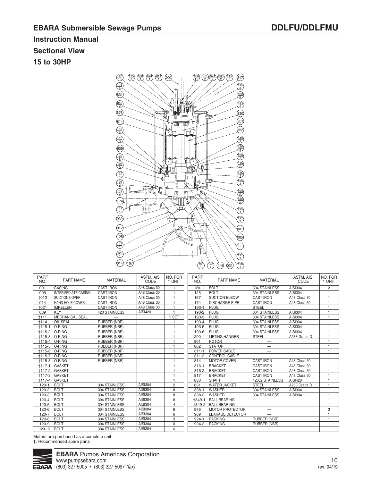### **Sectional View**

**15 to 30HP**



| <b>PART</b><br>NO. | <b>PART NAME</b>           | <b>MATERIAL</b>     | <b>ASTM. AISI</b><br>CODE | NO. FOR<br>1 UNIT | <b>PART</b><br>NO. | <b>PART NAME</b>        | <b>MATERIAL</b>          | <b>ASTM. AISI</b><br>CODE | NO. FOR<br>1 UNIT |
|--------------------|----------------------------|---------------------|---------------------------|-------------------|--------------------|-------------------------|--------------------------|---------------------------|-------------------|
| 001                | CASING                     | <b>CAST IRON</b>    | A48 Class 30              |                   | 120-11             | <b>BOLT</b>             | 304 STAINLESS            | AISI304                   | $\overline{2}$    |
| 005                | <b>INTERMEDIATE CASING</b> | <b>CAST IRON</b>    | A48 Class 30              |                   | 125                | <b>BOLT</b>             | 304 STAINLESS            | AISI304                   |                   |
| <b>+012</b>        | SUCTION COVER              | <b>CAST IRON</b>    | A48 Class 30              |                   | 167                | <b>SUCTION ELBOW</b>    | <b>CAST IRON</b>         | A48 Class 30              |                   |
| 014                | HAND HOLE COVER            | <b>CAST IRON</b>    | A48 Class 30              |                   | 174                | <b>DISCHARGE PIPE</b>   | <b>CAST IRON</b>         | A48 Class 30              |                   |
| +021               | <b>IMPELLER</b>            | <b>CAST IRON</b>    | A48 Class 30              |                   | 193-1              | PLUG                    | <b>STEEL</b>             |                           |                   |
| 039                | <b>KEY</b>                 | 420 STAINLESS       | AISI420                   |                   | 193-2              | PLUG                    | 304 STAINLESS            | AISI304                   |                   |
| $+111$             | <b>MECHANICAL SEAL</b>     |                     |                           | <b>SET</b>        | 193-3              | <b>PLUG</b>             | 304 STAINLESS            | AISI304                   |                   |
| +114               | <b>OIL SEAL</b>            | <b>RUBBER (NBR)</b> |                           |                   | 193-4              | <b>PLUG</b>             | 304 STAINLESS            | AISI304                   |                   |
| $+115-1$           | O-RING                     | <b>RUBBER (NBR)</b> |                           |                   | 193-5              | <b>PLUG</b>             | 304 STAINLESS            | AISI304                   |                   |
| $+115-2$           | O-RING                     | <b>RUBBER (NBR)</b> |                           |                   | 193-6              | <b>PLUG</b>             | 304 STAINLESS            | AISI304                   |                   |
| $+115-3$           | O-RING                     | RUBBER (NBR)        |                           |                   | 200                | <b>LIFTING HANGER</b>   | <b>STEEL</b>             | A283 Grade D              |                   |
| $+115-4$           | O-RING                     | <b>RUBBER (NBR)</b> |                           |                   | 801                | <b>ROTOR</b>            |                          |                           |                   |
| $+115-5$           | O-RING                     | RUBBER (NBR)        |                           |                   | 802                | <b>STATOR</b>           | —                        |                           |                   |
| $+115-6$           | O-RING                     | <b>RUBBER (NBR)</b> |                           |                   | $811 - 1$          | POWER CABLE             | $\overline{\phantom{0}}$ |                           |                   |
| $+115-7$           | O-RING                     | RUBBER (NBR)        |                           |                   | $811 - 2$          | CONTROL CABLE           |                          |                           |                   |
|                    | †115-8   O-RING            | RUBBER (NBR)        |                           |                   | 814                | <b>MOTOR COVER</b>      | <b>CAST IRON</b>         | A48 Class 30              |                   |
| $+117-1$           | <b>GASKET</b>              |                     |                           |                   | $816 - 1$          | <b>BRACKET</b>          | <b>CAST IRON</b>         | A48 Class 30              |                   |
| $+117-2$           | <b>GASKET</b>              |                     |                           |                   | 816-2              | <b>BRACKET</b>          | <b>CAST IRON</b>         | A48 Class 30              |                   |
| $+117-3$           | <b>GASKET</b>              |                     |                           |                   | 817                | <b>BRACKET</b>          | <b>CAST IRON</b>         | A48 Class 30              |                   |
| $+117-4$           | <b>GASKET</b>              |                     |                           |                   | 830                | <b>SHAFT</b>            | 420J2 STAINLESS          | AISI420                   |                   |
| $120 - 1$          | <b>BOLT</b>                | 304 STAINLESS       | <b>AISI304</b>            | $\overline{c}$    | 831                | <b>WATER JACKET</b>     | <b>STEEL</b>             | A283 Grade D              |                   |
| $120 - 2$          | <b>BOLT</b>                | 304 STAINLESS       | AISI304                   | 8                 | 838-1              | WASHER                  | 304 STAINLESS            | AISI304                   |                   |
| $120-3$            | <b>BOLT</b>                | 304 STAINLESS       | AISI304                   | 8                 | 838-2              | <b>WASHER</b>           | 304 STAINLESS            | AISI304                   |                   |
| $120 - 4$          | <b>BOLT</b>                | 304 STAINLESS       | AISI304                   | 8                 | +849-1             | <b>BALL BEARING</b>     |                          |                           |                   |
| $120 - 5$          | <b>BOLT</b>                | 304 STAINLESS       | AISI304                   | $\overline{4}$    | +849-2             | <b>BALL BEARING</b>     | $\qquad \qquad$          |                           |                   |
| $120 - 6$          | <b>BOLT</b>                | 304 STAINLESS       | AISI304                   | 6                 | 876                | <b>MOTOR PROTECTOR</b>  | $\overline{\phantom{0}}$ |                           | 3                 |
| $120 - 7$          | <b>BOLT</b>                | 304 STAINLESS       | <b>AISI304</b>            | 6                 | 909                | <b>LEAKAGE DETECTOR</b> | $\overline{\phantom{0}}$ |                           |                   |
| $120 - 8$          | <b>BOLT</b>                | 304 STAINLESS       | AISI304                   | 3                 | $924 - 1$          | <b>PACKING</b>          | RUBBER (NBR)             |                           |                   |
| $120 - 9$          | <b>BOLT</b>                | 304 STAINLESS       | AISI304                   | 6                 | $924 - 2$          | <b>PACKING</b>          | RUBBER (NBR)             |                           | 1                 |
| 120-10             | <b>BOLT</b>                | 304 STAINLESS       | <b>AISI304</b>            | 6                 |                    |                         |                          |                           |                   |

Motors are purchased as a complete unit †: Recommended spare parts

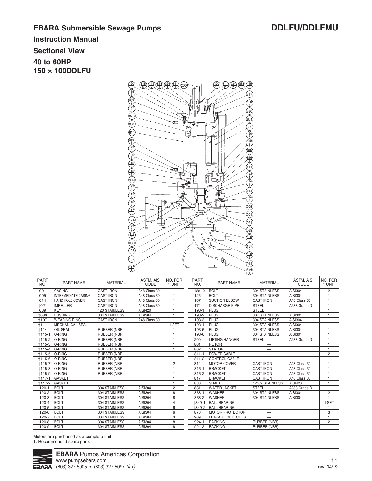# **Sectional View**

**40 to 60HP 150 × 100DDLFU**



| <b>PART</b><br>NO. | <b>PART NAME</b>           | <b>MATERIAL</b>     | ASTM, AISI<br>CODE | NO. FOR<br>1 UNIT | <b>PART</b><br>NO. | <b>PART NAME</b>        | <b>MATERIAL</b>          | ASTM, AISI<br>CODE | NO. FOR<br>1 UNIT |
|--------------------|----------------------------|---------------------|--------------------|-------------------|--------------------|-------------------------|--------------------------|--------------------|-------------------|
| 001                | <b>CASING</b>              | <b>CAST IRON</b>    | A48 Class 30       |                   | 120-10             | <b>BOLT</b>             | 304 STAINLESS            | AISI304            | $\overline{2}$    |
| 005                | <b>INTERMEDIATE CASING</b> | <b>CAST IRON</b>    | A48 Class 30       |                   | 125                | <b>BOLT</b>             | 304 STAINLESS            | <b>AISI304</b>     |                   |
| 014                | <b>HAND HOLE COVER</b>     | <b>CAST IRON</b>    | A48 Class 30       |                   | 167                | <b>SUCTION ELBOW</b>    | <b>CAST IRON</b>         | A48 Class 30       |                   |
| +021               | <b>IMPELLER</b>            | <b>CAST IRON</b>    | A48 Class 30       |                   | 174                | <b>DISCHARGE PIPE</b>   | <b>STEEL</b>             | A283 Grade D       |                   |
| 039                | <b>KEY</b>                 | 420 STAINLESS       | AISI420            |                   | 193-1              | <b>PLUG</b>             | <b>STEEL</b>             |                    | $\overline{4}$    |
| 1080               | <b>BUSHING</b>             | 304 STAINLESS       | <b>AISI304</b>     |                   | 193-2              | <b>PLUG</b>             | 304 STAINLESS            | AISI304            |                   |
| +107               | <b>WEARING RING</b>        | <b>CAST IRON</b>    | A48 Class 30       |                   | 193-3              | <b>PLUG</b>             | 304 STAINLESS            | AISI304            |                   |
| $+111$             | <b>MECHANICAL SEAL</b>     |                     |                    | <b>SET</b>        | 193-4              | <b>PLUG</b>             | 304 STAINLESS            | AISI304            |                   |
| <b>t114</b>        | <b>OIL SEAL</b>            | RUBBER (NBR)        |                    |                   | 193-5              | <b>PLUG</b>             | 304 STAINLESS            | AISI304            |                   |
| $+115-1$           | O-RING                     | RUBBER (NBR)        |                    |                   | 193-6              | <b>PLUG</b>             | 304 STAINLESS            | AISI304            |                   |
| $+115-2$           | O-RING                     | RUBBER (NBR)        |                    |                   | 200                | <b>LIFTING HANGER</b>   | <b>STEEL</b>             | A283 Grade D       |                   |
|                    | †115-3   O-RING            | RUBBER (NBR)        |                    |                   | 801                | <b>ROTOR</b>            |                          |                    |                   |
| †115-4             | O-RING                     | <b>RUBBER (NBR)</b> |                    |                   | 802                | <b>STATOR</b>           |                          |                    | $\overline{1}$    |
| $+115-5$           | O-RING                     | RUBBER (NBR)        |                    |                   | $811 - 1$          | POWER CABLE             | $\overline{\phantom{0}}$ |                    | $\overline{2}$    |
| $+115-6$           | O-RING                     | RUBBER (NBR)        |                    | м                 | $811 - 2$          | <b>CONTROL CABLE</b>    | —                        |                    | $\overline{1}$    |
| $+115-7$           | O-RING                     | <b>RUBBER (NBR)</b> |                    | $\overline{2}$    | 814                | <b>MOTOR COVER</b>      | <b>CAST IRON</b>         | A48 Class 30       |                   |
|                    | †115-8   O-RING            | RUBBER (NBR)        |                    |                   | $816 - 1$          | <b>BRACKET</b>          | <b>CAST IRON</b>         | A48 Class 30       |                   |
| $+115-9$           | O-RING                     | RUBBER (NBR)        |                    |                   | 816-2              | <b>BRACKET</b>          | <b>CAST IRON</b>         | A48 Class 30       |                   |
| $+117-1$           | <b>GASKET</b>              |                     |                    |                   | 817                | <b>BRACKET</b>          | <b>CAST IRON</b>         | A48 Class 30       |                   |
| +117-2             | <b>GASKET</b>              |                     |                    |                   | 830                | <b>SHAFT</b>            | 420J2 STAINLESS          | AISI420            |                   |
| $120 - 1$          | <b>BOLT</b>                | 304 STAINLESS       | AISI304            | $\overline{c}$    | 831                | <b>WATER JACKET</b>     | <b>STEEL</b>             | A283 Grade D       | $\overline{1}$    |
| $120 - 2$          | <b>BOLT</b>                | 304 STAINLESS       | AISI304            | 8                 | 838-1              | <b>WASHER</b>           | 304 STAINLESS            | AISI304            | $\overline{2}$    |
| $120 - 3$          | <b>BOLT</b>                | 304 STAINLESS       | AISI304            | 8                 | 838-2              | <b>WASHER</b>           | 304 STAINLESS            | AISI304            | $\overline{1}$    |
| 120-4              | <b>BOLT</b>                | 304 STAINLESS       | AISI304            | 4                 | <b>+849-1</b>      | <b>BALL BEARING</b>     |                          |                    | <b>SET</b>        |
| $120 - 5$          | <b>BOLT</b>                | 304 STAINLESS       | AISI304            | 6                 | +849-2             | <b>BALL BEARING</b>     | $\qquad \qquad$          |                    | $\mathbf{1}$      |
| $120 - 6$          | <b>BOLT</b>                | 304 STAINLESS       | AISI304            | 6                 | 876                | <b>MOTOR PROTECTOR</b>  | $\qquad \qquad$          |                    | 3                 |
| $120 - 7$          | <b>BOLT</b>                | 304 STAINLESS       | AISI304            | $\sqrt{3}$        | 909                | <b>LEAKAGE DETECTOR</b> |                          |                    | $\overline{1}$    |
| $120 - 8$          | <b>BOLT</b>                | 304 STAINLESS       | AISI304            | 8                 | $924 - 1$          | <b>PACKING</b>          | <b>RUBBER (NBR)</b>      |                    | $\overline{c}$    |
| $120 - 9$          | <b>BOLT</b>                | 304 STAINLESS       | AISI304            | 8                 | 924-2              | <b>PACKING</b>          | <b>RUBBER (NBR)</b>      |                    | $\mathbf{1}$      |

Motors are purchased as a complete unit †: Recommended spare parts

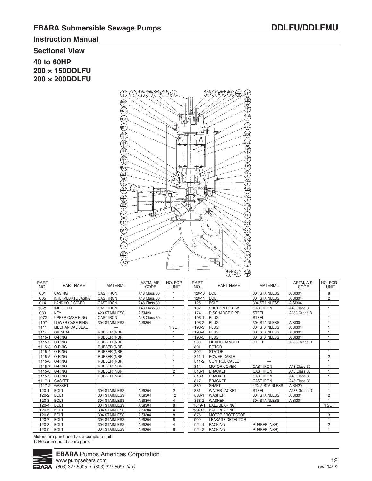# **Sectional View**

**40 to 60HP 200 × 150DDLFU 200 × 200DDLFU**



| <b>PART</b><br>NO. | <b>PART NAME</b>           | <b>MATERIAL</b>      | ASTM, AISI<br>CODE | NO. FOR<br>1 UNIT | <b>PART</b><br>NO. | <b>PART NAME</b>        | <b>MATERIAL</b>          | <b>ASTM. AISI</b><br>CODE | NO. FOR<br>1 UNIT |
|--------------------|----------------------------|----------------------|--------------------|-------------------|--------------------|-------------------------|--------------------------|---------------------------|-------------------|
| 001                | <b>CASING</b>              | <b>CAST IRON</b>     | A48 Class 30       |                   | 120-10             | <b>BOLT</b>             | 304 STAINLESS            | AISI304                   | 8                 |
| 005                | <b>INTERMEDIATE CASING</b> | <b>CAST IRON</b>     | A48 Class 30       |                   | 120-11             | <b>BOLT</b>             | 304 STAINLESS            | AISI304                   | $\overline{2}$    |
| 014                | <b>HAND HOLE COVER</b>     | <b>CAST IRON</b>     | A48 Class 30       |                   | 125                | <b>BOLT</b>             | 304 STAINLESS            | AISI304                   |                   |
| 1021               | <b>IMPELLER</b>            | <b>CAST IRON</b>     | A48 Class 30       |                   | 167                | <b>SUCTION ELBOW</b>    | <b>CAST IRON</b>         | A48 Class 30              |                   |
| 039                | <b>KEY</b>                 | <b>420 STAINLESS</b> | AISI420            |                   | 174                | <b>DISCHARGE PIPE</b>   | <b>STEEL</b>             | A283 Grade D              |                   |
| +072               | <b>UPPER CASE RING</b>     | <b>CAST IRON</b>     | A48 Class 30       |                   | 193-1              | <b>PLUG</b>             | <b>STEEL</b>             |                           |                   |
| +107               | <b>LOWER CASE RING</b>     | 304 STAINLESS        | AISI304            |                   | 193-2              | PLUG                    | 304 STAINLESS            | AISI304                   |                   |
| $+111$             | <b>MECHANICAL SEAL</b>     |                      |                    | <b>SET</b>        | 193-3              | <b>PLUG</b>             | 304 STAINLESS            | AISI304                   |                   |
| +114               | <b>OIL SEAL</b>            | <b>RUBBER (NBR)</b>  |                    |                   | 193-4              | <b>PLUG</b>             | 304 STAINLESS            | AISI304                   |                   |
| $+115-1$           | O-RING                     | <b>RUBBER (NBR)</b>  |                    |                   | 193-5              | <b>PLUG</b>             | 304 STAINLESS            | AISI304                   |                   |
| $+115-2$           | O-RING                     | RUBBER (NBR)         |                    |                   | 200                | <b>LIFTING HANGER</b>   | <b>STEEL</b>             | A283 Grade D              |                   |
| $+115-3$           | O-RING                     | RUBBER (NBR)         |                    |                   | 801                | <b>ROTOR</b>            |                          |                           |                   |
| $+115-4$           | O-RING                     | <b>RUBBER (NBR)</b>  |                    |                   | 802                | <b>STATOR</b>           |                          |                           |                   |
| +115-5             | O-RING                     | RUBBER (NBR)         |                    |                   | $811 - 1$          | POWER CABLE             | —                        |                           | 2                 |
| $+115-6$           | O-RING                     | <b>RUBBER (NBR)</b>  |                    |                   | $811 - 2$          | <b>CONTROL CABLE</b>    |                          |                           |                   |
| $+115-7$           | O-RING                     | RUBBER (NBR)         |                    |                   | 814                | <b>MOTOR COVER</b>      | <b>CAST IRON</b>         | A48 Class 30              |                   |
| $+115-8$           | O-RING                     | RUBBER (NBR)         |                    | $\overline{c}$    | $816 - 1$          | <b>BRACKET</b>          | <b>CAST IRON</b>         | A48 Class 30              |                   |
| +115-9             | O-RING                     | RUBBER (NBR)         |                    |                   | 816-2              | <b>BRACKET</b>          | <b>CAST IRON</b>         | A48 Class 30              |                   |
| $+117-1$           | <b>GASKET</b>              |                      |                    |                   | 817                | <b>BRACKET</b>          | <b>CAST IRON</b>         | A48 Class 30              |                   |
| $+117-2$           | <b>GASKET</b>              |                      |                    |                   | 830                | <b>SHAFT</b>            | 420J2 STAINLESS          | AISI420                   |                   |
| $120 - 1$          | <b>BOLT</b>                | 304 STAINLESS        | AISI304            | $\overline{c}$    | 831                | <b>WATER JACKET</b>     | <b>STEEL</b>             | A283 Grade D              |                   |
| $120 - 2$          | <b>BOLT</b>                | 304 STAINLESS        | AISI304            | 12                | 838-1              | <b>WASHER</b>           | 304 STAINLESS            | AISI304                   | $\overline{2}$    |
| $120-3$            | <b>BOLT</b>                | 304 STAINLESS        | AISI304            | 4                 | 838-2              | <b>WASHER</b>           | 304 STAINLESS            | AISI304                   |                   |
| $120 - 4$          | <b>BOLT</b>                | 304 STAINLESS        | AISI304            | 8                 | +849-1             | <b>BALL BEARING</b>     |                          |                           | 1 SET             |
| $120 - 5$          | <b>BOLT</b>                | 304 STAINLESS        | AISI304            | $\overline{4}$    | +849-2             | <b>BALL BEARING</b>     | $\overline{\phantom{0}}$ |                           |                   |
| $120 - 6$          | <b>BOLT</b>                | 304 STAINLESS        | AISI304            | 8                 | 876                | <b>MOTOR PROTECTOR</b>  | $\qquad \qquad$          |                           | 3                 |
| $120 - 7$          | <b>BOLT</b>                | 304 STAINLESS        | AISI304            | 8                 | 909                | <b>LEAKAGE DETECTOR</b> | $\overline{\phantom{0}}$ |                           | $\overline{1}$    |
| $120 - 8$          | <b>BOLT</b>                | 304 STAINLESS        | AISI304            | $\overline{4}$    | $924 - 1$          | <b>PACKING</b>          | RUBBER (NBR)             |                           | $\overline{2}$    |
| $120 - 9$          | <b>BOLT</b>                | 304 STAINLESS        | AISI304            | 6                 | $924 - 2$          | <b>PACKING</b>          | RUBBER (NBR)             |                           |                   |

Motors are purchased as a complete unit

†: Recommended spare parts

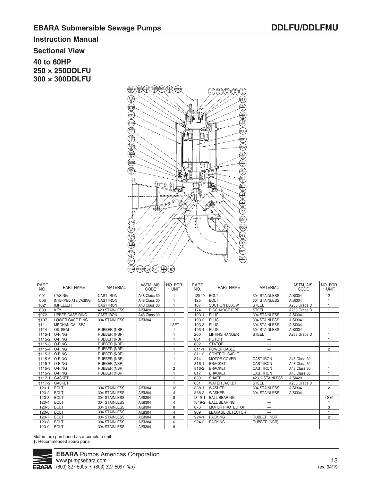ASTM, AISI CODE AISI304 AISI304 A283 Grade D A283 Grade D AISI304 AISI304 AISI304 AISI304 A283 Grade D

A48 Class 30 A48 Class 30 A48 Class 30 A48 Class 30 AISI420 A283 Grade D AISI304 AISI304

# **Instruction Manual**

#### **Sectional View**

**40 to 60HP 250 × 250DDLFU 300 × 300DDLFU** 



| <b>PART NAME</b>           | <b>MATERIAL</b>      | ASTM, AISI<br>CODE | NO. FOR<br>1 UNIT | <b>PART</b><br>NO. | <b>PART NAME</b>        | <b>MATERIAL</b>  |
|----------------------------|----------------------|--------------------|-------------------|--------------------|-------------------------|------------------|
| CASING                     | <b>CAST IRON</b>     | A48 Class 30       |                   | 120-10             | <b>BOLT</b>             | 304 STAINLESS    |
| <b>INTERMEDIATE CASING</b> | <b>CAST IRON</b>     | A48 Class 30       | 1                 | 125                | <b>BOLT</b>             | 304 STAINLESS    |
| <b>IMPELLER</b>            | <b>CAST IRON</b>     | A48 Class 30       |                   | 167                | <b>SUCTION ELBOW</b>    | <b>STEEL</b>     |
| <b>KEY</b>                 | <b>420 STAINLESS</b> | AISI420            | 1                 | 174                | <b>DISCHARGE PIPE</b>   | <b>STEEL</b>     |
| <b>UPPER CASE RING</b>     | <b>CAST IRON</b>     | A48 Class 30       |                   | 193-1              | <b>PLUG</b>             | 304 STAINLESS    |
| <b>LOWER CASE RING</b>     | 304 STAINLESS        | AISI304            |                   | 193-2              | <b>PLUG</b>             | 304 STAINLESS    |
| <b>MECHANICAL SEAL</b>     |                      |                    | 1 SET             | 193-3              | <b>PLUG</b>             | 304 STAINLESS    |
| OIL SEAL                   | RUBBER (NBR)         |                    |                   | 193-4              | <b>PLUG</b>             | 304 STAINLESS    |
| O-RING                     | RUBBER (NBR)         |                    | 1                 | 200                | <b>LIFTING HANGER</b>   | <b>STEEL</b>     |
| O-RING<br>$+115-2$         | RUBBER (NBR)         |                    |                   | 801                | <b>ROTOR</b>            | —                |
| O-RING<br>$+115-3$         | RUBBER (NBR)         |                    |                   | 802                | <b>STATOR</b>           |                  |
| O-RING<br>$+115-4$         | <b>RUBBER (NBR)</b>  |                    |                   | $811 - 1$          | POWER CABLE             |                  |
| O-RING<br>$+115-5$         | RUBBER (NBR)         |                    | 1                 | $811 - 2$          | <b>CONTROL CABLE</b>    |                  |
| O-RING<br>$+115-6$         | RUBBER (NBR)         |                    |                   | 814                | <b>MOTOR COVER</b>      | <b>CAST IRON</b> |
| $+115-7$<br>O-RING         | RUBBER (NBR)         |                    | 1                 | $816 - 1$          | <b>BRACKET</b>          | <b>CAST IRON</b> |
| O-RING<br>$+115-8$         | RUBBER (NBR)         |                    | $\overline{c}$    | 816-2              | <b>BRACKET</b>          | <b>CAST IRON</b> |
| O-RING<br>$+115-9$         | <b>RUBBER (NBR)</b>  |                    | 1                 | 817                | <b>BRACKET</b>          | <b>CAST IRON</b> |
| <b>GASKET</b>              |                      |                    |                   | 830                | <b>SHAFT</b>            | 420J2 STAINLES   |
| <b>GASKET</b>              |                      |                    | 1                 | 831                | <b>WATER JACKET</b>     | <b>STEEL</b>     |
| <b>BOLT</b>                | 304 STAINLESS        | AISI304            | 12                | 838-1              | <b>WASHER</b>           | 304 STAINLESS    |
| <b>BOLT</b>                | 304 STAINLESS        | <b>AISI304</b>     | 4                 | 838-2              | <b>WASHER</b>           | 304 STAINLESS    |
| <b>BOLT</b>                | 304 STAINLESS        | AISI304            | 8                 | +849-1             | <b>BALL BEARING</b>     |                  |
| <b>BOLT</b>                | 304 STAINLESS        | AISI304            | 4                 | 1849-2             | <b>BALL BEARING</b>     |                  |
| <b>BOLT</b>                | 304 STAINLESS        | AISI304            | 8                 | 876                | <b>MOTOR PROTECTOR</b>  |                  |
| <b>BOLT</b>                | 304 STAINLESS        | AISI304            | $\overline{4}$    | 909                | <b>LEAKAGE DETECTOR</b> |                  |
| <b>BOLT</b>                | 304 STAINLESS        | AISI304            | 8                 | $924 - 1$          | <b>PACKING</b>          | RUBBER (NBR)     |
| <b>BOLT</b>                | 304 STAINLESS        | AISI304            | 6                 | 924-2              | <b>PACKING</b>          | RUBBER (NBR)     |
| <b>BOLT</b>                | 304 STAINLESS        | AISI304            | 8                 |                    |                         |                  |
|                            |                      |                    |                   |                    |                         |                  |

Motors are purchased as a complete unit †: Recommended spare parts

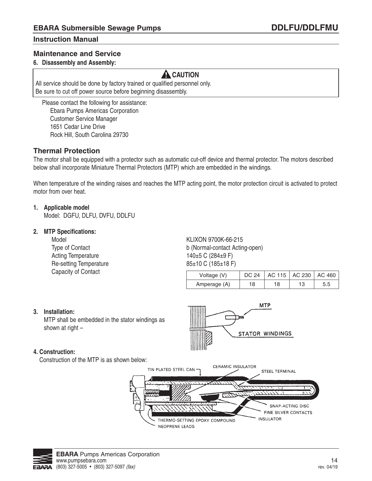### **Maintenance and Service**

### **6. Disassembly and Assembly:**

# **A** CAUTION

All service should be done by factory trained or qualified personnel only. Be sure to cut off power source before beginning disassembly.

 Please contact the following for assistance: Ebara Pumps Americas Corporation Customer Service Manager 1651 Cedar Line Drive Rock Hill, South Carolina 29730

### **Thermal Protection**

The motor shall be equipped with a protector such as automatic cut-off device and thermal protector. The motors described below shall incorporate Miniature Thermal Protectors (MTP) which are embedded in the windings.

When temperature of the winding raises and reaches the MTP acting point, the motor protection circuit is activated to protect motor from over heat.

#### **1. Applicable model**

Model: DGFU, DLFU, DVFU, DDLFU

#### **2. MTP Specifications:**

Acting Temperature 140±5 C (284±9 F) Re-setting Temperature 85±10 C (185±18 F) Capacity of Contact

Model **KLIXON 9700K-66-215** Type of Contact **b** (Normal-contact Acting-open)

| Voltage (V)  | <b>DC 24</b> |    | AC 115   AC 230   AC 460 |  |
|--------------|--------------|----|--------------------------|--|
| Amperage (A) | 18           | 18 |                          |  |

**MTP** 

STATOR WINDINGS

#### **3. Installation:**

MTP shall be embedded in the stator windings as shown at right –

#### **4. Construction:**

Construction of the MTP is as shown below:



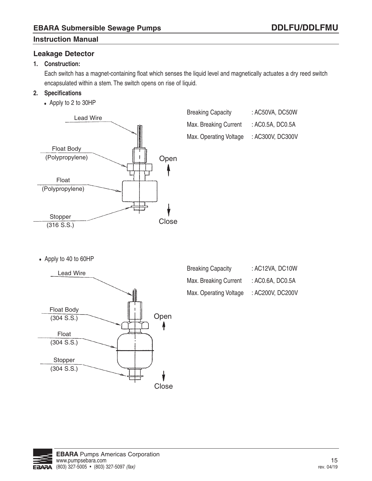### **Leakage Detector**

## **1. Construction:**

 Each switch has a magnet-containing float which senses the liquid level and magnetically actuates a dry reed switch encapsulated within a stem. The switch opens on rise of liquid.

### **2. Specifications**

• Apply to 2 to 30HP



| <b>Breaking Capacity</b> | : AC50VA, DC50W  |
|--------------------------|------------------|
| Max. Breaking Current    | : AC0.5A, DC0.5A |
| Max. Operating Voltage   | : AC300V, DC300V |

• Apply to 40 to 60HP



| <b>Breaking Capacity</b> | : AC12VA, DC10W  |
|--------------------------|------------------|
| Max. Breaking Current    | : AC0.6A, DC0.5A |
| Max. Operating Voltage   | : AC200V, DC200V |

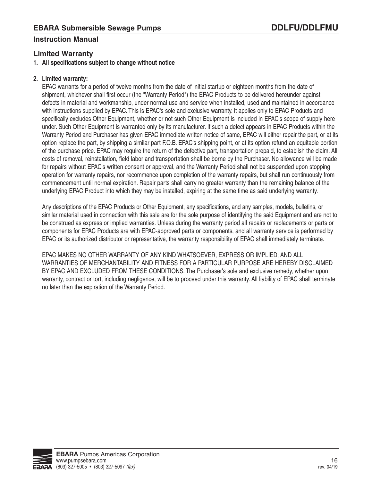## **Limited Warranty**

### **1. All specifications subject to change without notice**

### **2. Limited warranty:**

 EPAC warrants for a period of twelve months from the date of initial startup or eighteen months from the date of shipment, whichever shall first occur (the "Warranty Period") the EPAC Products to be delivered hereunder against defects in material and workmanship, under normal use and service when installed, used and maintained in accordance with instructions supplied by EPAC. This is EPAC's sole and exclusive warranty. It applies only to EPAC Products and specifically excludes Other Equipment, whether or not such Other Equipment is included in EPAC's scope of supply here under. Such Other Equipment is warranted only by its manufacturer. If such a defect appears in EPAC Products within the Warranty Period and Purchaser has given EPAC immediate written notice of same, EPAC will either repair the part, or at its option replace the part, by shipping a similar part F.O.B. EPAC's shipping point, or at its option refund an equitable portion of the purchase price. EPAC may require the return of the defective part, transportation prepaid, to establish the claim. All costs of removal, reinstallation, field labor and transportation shall be borne by the Purchaser. No allowance will be made for repairs without EPAC's written consent or approval, and the Warranty Period shall not be suspended upon stopping operation for warranty repairs, nor recommence upon completion of the warranty repairs, but shall run continuously from commencement until normal expiration. Repair parts shall carry no greater warranty than the remaining balance of the underlying EPAC Product into which they may be installed, expiring at the same time as said underlying warranty.

 Any descriptions of the EPAC Products or Other Equipment, any specifications, and any samples, models, bulletins, or similar material used in connection with this sale are for the sole purpose of identifying the said Equipment and are not to be construed as express or implied warranties. Unless during the warranty period all repairs or replacements or parts or components for EPAC Products are with EPAC-approved parts or components, and all warranty service is performed by EPAC or its authorized distributor or representative, the warranty responsibility of EPAC shall immediately terminate.

 EPAC MAKES NO OTHER WARRANTY OF ANY KIND WHATSOEVER, EXPRESS OR IMPLIED; AND ALL WARRANTIES OF MERCHANTABILITY AND FITNESS FOR A PARTICULAR PURPOSE ARE HEREBY DISCLAIMED BY EPAC AND EXCLUDED FROM THESE CONDITIONS. The Purchaser's sole and exclusive remedy, whether upon warranty, contract or tort, including negligence, will be to proceed under this warranty. All liability of EPAC shall terminate no later than the expiration of the Warranty Period.